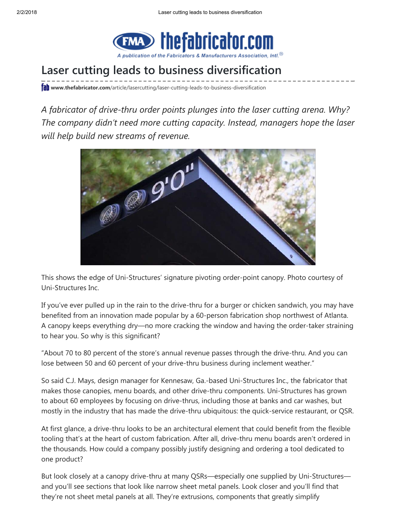

# Laser cutting leads to business diversification

**fall www.thefabricator.com**[/article/lasercutting/laser-cutting-leads-to-business-diversification](https://www.thefabricator.com/article/lasercutting/laser-cutting-leads-to-business-diversification)

A fabricator of drive-thru order points plunges into the laser cutting arena. Why? The company didn't need more cutting capacity. Instead, managers hope the laser will help build new streams of revenue.



This shows the edge of Uni-Structures' signature pivoting order-point canopy. Photo courtesy of Uni-Structures Inc.

If you've ever pulled up in the rain to the drive-thru for a burger or chicken sandwich, you may have benefited from an innovation made popular by a 60-person fabrication shop northwest of Atlanta. A canopy keeps everything dry—no more cracking the window and having the order-taker straining to hear you. So why is this significant?

"About 70 to 80 percent of the store's annual revenue passes through the drive-thru. And you can lose between 50 and 60 percent of your drive-thru business during inclement weather."

So said C.J. Mays, design manager for Kennesaw, Ga.-based Uni-Structures Inc., the fabricator that makes those canopies, menu boards, and other drive-thru components. Uni-Structures has grown to about 60 employees by focusing on drive-thrus, including those at banks and car washes, but mostly in the industry that has made the drive-thru ubiquitous: the quick-service restaurant, or QSR.

At first glance, a drive-thru looks to be an architectural element that could benefit from the flexible tooling that's at the heart of custom fabrication. After all, drive-thru menu boards aren't ordered in the thousands. How could a company possibly justify designing and ordering a tool dedicated to one product?

But look closely at a canopy drive-thru at many QSRs—especially one supplied by Uni-Structures and you'll see sections that look like narrow sheet metal panels. Look closer and you'll find that they're not sheet metal panels at all. They're extrusions, components that greatly simplify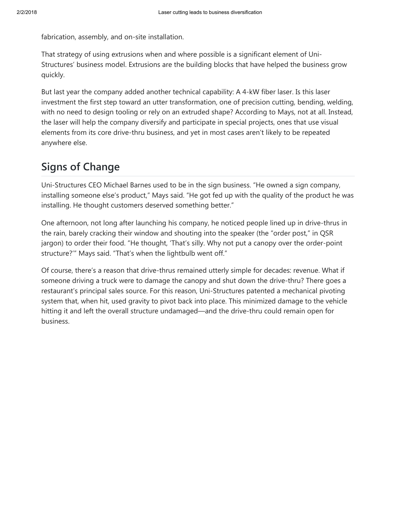fabrication, assembly, and on-site installation.

That strategy of using extrusions when and where possible is a significant element of Uni-Structures' business model. Extrusions are the building blocks that have helped the business grow quickly.

But last year the company added another technical capability: A 4-kW fiber laser. Is this laser investment the first step toward an utter transformation, one of precision cutting, bending, welding, with no need to design tooling or rely on an extruded shape? According to Mays, not at all. Instead, the laser will help the company diversify and participate in special projects, ones that use visual elements from its core drive-thru business, and yet in most cases aren't likely to be repeated anywhere else.

## Signs of Change

Uni-Structures CEO Michael Barnes used to be in the sign business. "He owned a sign company, installing someone else's product," Mays said. "He got fed up with the quality of the product he was installing. He thought customers deserved something better."

One afternoon, not long after launching his company, he noticed people lined up in drive-thrus in the rain, barely cracking their window and shouting into the speaker (the "order post," in QSR jargon) to order their food. "He thought, 'That's silly. Why not put a canopy over the order-point structure?'" Mays said. "That's when the lightbulb went off."

Of course, there's a reason that drive-thrus remained utterly simple for decades: revenue. What if someone driving a truck were to damage the canopy and shut down the drive-thru? There goes a restaurant's principal sales source. For this reason, Uni-Structures patented a mechanical pivoting system that, when hit, used gravity to pivot back into place. This minimized damage to the vehicle hitting it and left the overall structure undamaged—and the drive-thru could remain open for business.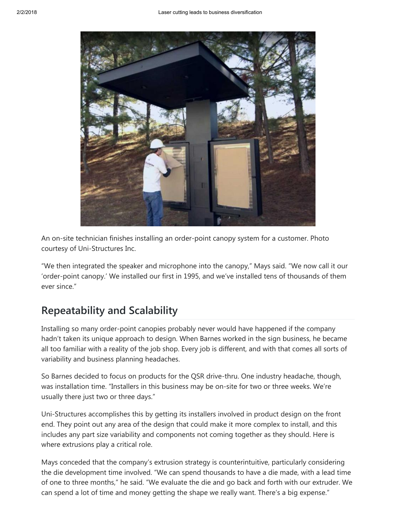

An on-site technician finishes installing an order-point canopy system for a customer. Photo courtesy of Uni-Structures Inc.

"We then integrated the speaker and microphone into the canopy," Mays said. "We now call it our 'order-point canopy.' We installed our first in 1995, and we've installed tens of thousands of them ever since."

### Repeatability and Scalability

Installing so many order-point canopies probably never would have happened if the company hadn't taken its unique approach to design. When Barnes worked in the sign business, he became all too familiar with a reality of the job shop. Every job is different, and with that comes all sorts of variability and business planning headaches.

So Barnes decided to focus on products for the QSR drive-thru. One industry headache, though, was installation time. "Installers in this business may be on-site for two or three weeks. We're usually there just two or three days."

Uni-Structures accomplishes this by getting its installers involved in product design on the front end. They point out any area of the design that could make it more complex to install, and this includes any part size variability and components not coming together as they should. Here is where extrusions play a critical role.

Mays conceded that the company's extrusion strategy is counterintuitive, particularly considering the die development time involved. "We can spend thousands to have a die made, with a lead time of one to three months," he said. "We evaluate the die and go back and forth with our extruder. We can spend a lot of time and money getting the shape we really want. There's a big expense."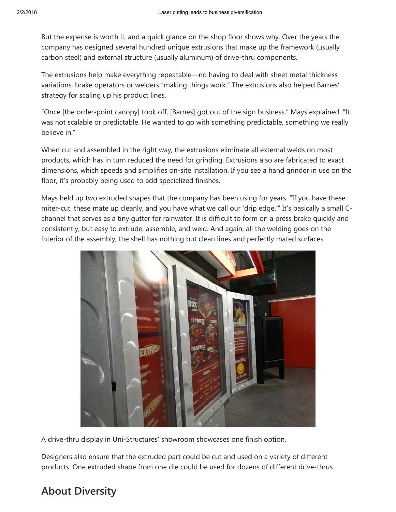But the expense is worth it, and a quick glance on the shop floor shows why. Over the years the company has designed several hundred unique extrusions that make up the framework (usually carbon steel) and external structure (usually aluminum) of drive-thru components.

The extrusions help make everything repeatable—no having to deal with sheet metal thickness variations, brake operators or welders "making things work." The extrusions also helped Barnes' strategy for scaling up his product lines.

"Once [the order-point canopy] took off, [Barnes] got out of the sign business," Mays explained. "It was not scalable or predictable. He wanted to go with something predictable, something we really believe in."

When cut and assembled in the right way, the extrusions eliminate all external welds on most products, which has in turn reduced the need for grinding. Extrusions also are fabricated to exact dimensions, which speeds and simplifies on-site installation. If you see a hand grinder in use on the floor, it's probably being used to add specialized finishes.

Mays held up two extruded shapes that the company has been using for years. "If you have these miter-cut, these mate up cleanly, and you have what we call our 'drip edge.'" It's basically a small Cchannel that serves as a tiny gutter for rainwater. It is difficult to form on a press brake quickly and consistently, but easy to extrude, assemble, and weld. And again, all the welding goes on the interior of the assembly; the shell has nothing but clean lines and perfectly mated surfaces.



A drive-thru display in Uni-Structures' showroom showcases one finish option.

Designers also ensure that the extruded part could be cut and used on a variety of different products. One extruded shape from one die could be used for dozens of different drive-thrus.

#### About Diversity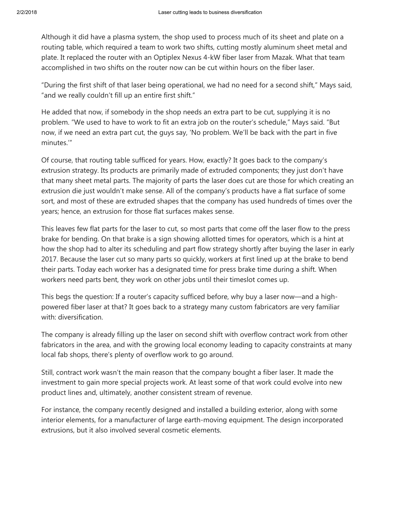Although it did have a plasma system, the shop used to process much of its sheet and plate on a routing table, which required a team to work two shifts, cutting mostly aluminum sheet metal and plate. It replaced the router with an Optiplex Nexus 4-kW fiber laser from Mazak. What that team accomplished in two shifts on the router now can be cut within hours on the fiber laser.

"During the first shift of that laser being operational, we had no need for a second shift," Mays said, "and we really couldn't fill up an entire first shift."

He added that now, if somebody in the shop needs an extra part to be cut, supplying it is no problem. "We used to have to work to fit an extra job on the router's schedule," Mays said. "But now, if we need an extra part cut, the guys say, 'No problem. We'll be back with the part in five minutes.'"

Of course, that routing table sufficed for years. How, exactly? It goes back to the company's extrusion strategy. Its products are primarily made of extruded components; they just don't have that many sheet metal parts. The majority of parts the laser does cut are those for which creating an extrusion die just wouldn't make sense. All of the company's products have a flat surface of some sort, and most of these are extruded shapes that the company has used hundreds of times over the years; hence, an extrusion for those flat surfaces makes sense.

This leaves few flat parts for the laser to cut, so most parts that come off the laser flow to the press brake for bending. On that brake is a sign showing allotted times for operators, which is a hint at how the shop had to alter its scheduling and part flow strategy shortly after buying the laser in early 2017. Because the laser cut so many parts so quickly, workers at first lined up at the brake to bend their parts. Today each worker has a designated time for press brake time during a shift. When workers need parts bent, they work on other jobs until their timeslot comes up.

This begs the question: If a router's capacity sufficed before, why buy a laser now—and a highpowered fiber laser at that? It goes back to a strategy many custom fabricators are very familiar with: diversification.

The company is already filling up the laser on second shift with overflow contract work from other fabricators in the area, and with the growing local economy leading to capacity constraints at many local fab shops, there's plenty of overflow work to go around.

Still, contract work wasn't the main reason that the company bought a fiber laser. It made the investment to gain more special projects work. At least some of that work could evolve into new product lines and, ultimately, another consistent stream of revenue.

For instance, the company recently designed and installed a building exterior, along with some interior elements, for a manufacturer of large earth-moving equipment. The design incorporated extrusions, but it also involved several cosmetic elements.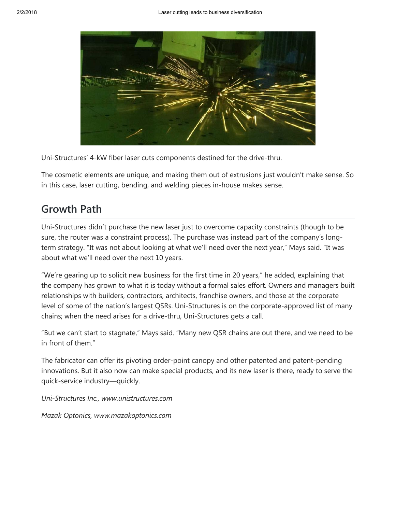

Uni-Structures' 4-kW fiber laser cuts components destined for the drive-thru.

The cosmetic elements are unique, and making them out of extrusions just wouldn't make sense. So in this case, laser cutting, bending, and welding pieces in-house makes sense.

#### Growth Path

Uni-Structures didn't purchase the new laser just to overcome capacity constraints (though to be sure, the router was a constraint process). The purchase was instead part of the company's longterm strategy. "It was not about looking at what we'll need over the next year," Mays said. "It was about what we'll need over the next 10 years.

"We're gearing up to solicit new business for the first time in 20 years," he added, explaining that the company has grown to what it is today without a formal sales effort. Owners and managers built relationships with builders, contractors, architects, franchise owners, and those at the corporate level of some of the nation's largest QSRs. Uni-Structures is on the corporate-approved list of many chains; when the need arises for a drive-thru, Uni-Structures gets a call.

"But we can't start to stagnate," Mays said. "Many new QSR chains are out there, and we need to be in front of them."

The fabricator can offer its pivoting order-point canopy and other patented and patent-pending innovations. But it also now can make special products, and its new laser is there, ready to serve the quick-service industry—quickly.

Uni-Structures Inc., www.unistructures.com

Mazak Optonics, www.mazakoptonics.com